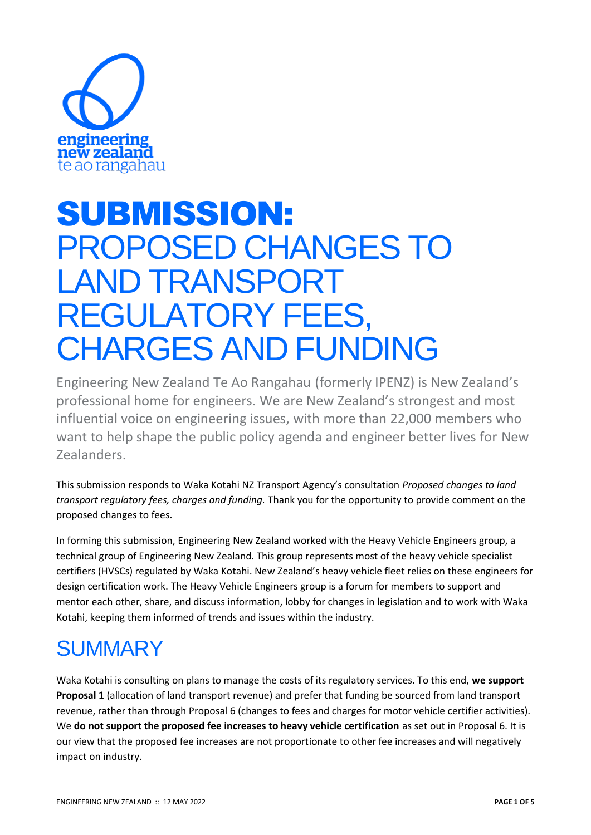

# SUBMISSION: PROPOSED CHANGES TO LAND TRANSPORT REGULATORY FEES, CHARGES AND FUNDING

Engineering New Zealand Te Ao Rangahau (formerly IPENZ) is New Zealand's professional home for engineers. We are New Zealand's strongest and most influential voice on engineering issues, with more than 22,000 members who want to help shape the public policy agenda and engineer better lives for New Zealanders.

This submission responds to Waka Kotahi NZ Transport Agency's consultation *Proposed changes to land transport regulatory fees, charges and funding.* Thank you for the opportunity to provide comment on the proposed changes to fees.

In forming this submission, Engineering New Zealand worked with the Heavy Vehicle Engineers group, a technical group of Engineering New Zealand. This group represents most of the heavy vehicle specialist certifiers (HVSCs) regulated by Waka Kotahi. New Zealand's heavy vehicle fleet relies on these engineers for design certification work. The Heavy Vehicle Engineers group is a forum for members to support and mentor each other, share, and discuss information, lobby for changes in legislation and to work with Waka Kotahi, keeping them informed of trends and issues within the industry.

## **SUMMARY**

Waka Kotahi is consulting on plans to manage the costs of its regulatory services. To this end, **we support Proposal 1** (allocation of land transport revenue) and prefer that funding be sourced from land transport revenue, rather than through Proposal 6 (changes to fees and charges for motor vehicle certifier activities). We **do not support the proposed fee increases to heavy vehicle certification** as set out in Proposal 6. It is our view that the proposed fee increases are not proportionate to other fee increases and will negatively impact on industry.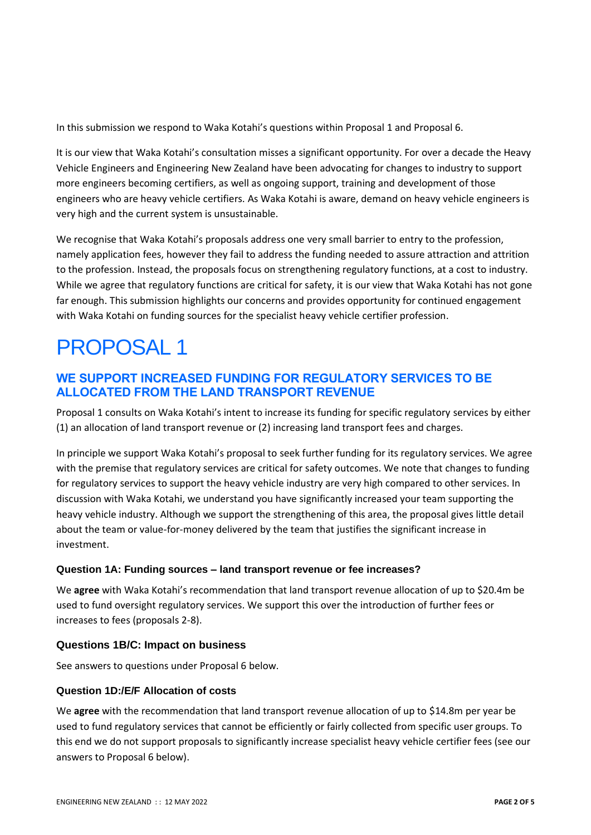In this submission we respond to Waka Kotahi's questions within Proposal 1 and Proposal 6.

It is our view that Waka Kotahi's consultation misses a significant opportunity. For over a decade the Heavy Vehicle Engineers and Engineering New Zealand have been advocating for changes to industry to support more engineers becoming certifiers, as well as ongoing support, training and development of those engineers who are heavy vehicle certifiers. As Waka Kotahi is aware, demand on heavy vehicle engineers is very high and the current system is unsustainable.

We recognise that Waka Kotahi's proposals address one very small barrier to entry to the profession, namely application fees, however they fail to address the funding needed to assure attraction and attrition to the profession. Instead, the proposals focus on strengthening regulatory functions, at a cost to industry. While we agree that regulatory functions are critical for safety, it is our view that Waka Kotahi has not gone far enough. This submission highlights our concerns and provides opportunity for continued engagement with Waka Kotahi on funding sources for the specialist heavy vehicle certifier profession.

## PROPOSAL 1

## **WE SUPPORT INCREASED FUNDING FOR REGULATORY SERVICES TO BE ALLOCATED FROM THE LAND TRANSPORT REVENUE**

Proposal 1 consults on Waka Kotahi's intent to increase its funding for specific regulatory services by either (1) an allocation of land transport revenue or (2) increasing land transport fees and charges.

In principle we support Waka Kotahi's proposal to seek further funding for its regulatory services. We agree with the premise that regulatory services are critical for safety outcomes. We note that changes to funding for regulatory services to support the heavy vehicle industry are very high compared to other services. In discussion with Waka Kotahi, we understand you have significantly increased your team supporting the heavy vehicle industry. Although we support the strengthening of this area, the proposal gives little detail about the team or value-for-money delivered by the team that justifies the significant increase in investment.

## **Question 1A: Funding sources – land transport revenue or fee increases?**

We **agree** with Waka Kotahi's recommendation that land transport revenue allocation of up to \$20.4m be used to fund oversight regulatory services. We support this over the introduction of further fees or increases to fees (proposals 2-8).

## **Questions 1B/C: Impact on business**

See answers to questions under Proposal 6 below.

## **Question 1D:/E/F Allocation of costs**

We **agree** with the recommendation that land transport revenue allocation of up to \$14.8m per year be used to fund regulatory services that cannot be efficiently or fairly collected from specific user groups. To this end we do not support proposals to significantly increase specialist heavy vehicle certifier fees (see our answers to Proposal 6 below).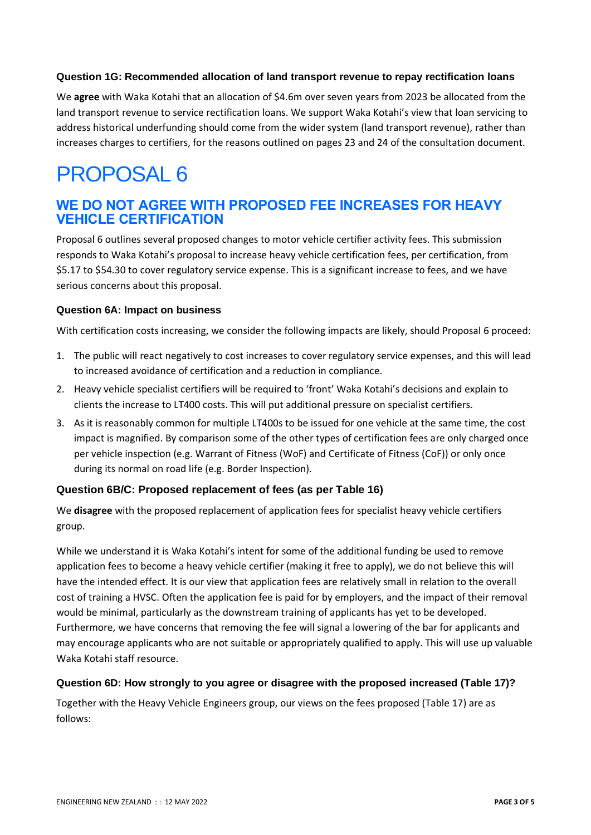### **Question 1G: Recommended allocation of land transport revenue to repay rectification loans**

We **agree** with Waka Kotahi that an allocation of \$4.6m over seven years from 2023 be allocated from the land transport revenue to service rectification loans. We support Waka Kotahi's view that loan servicing to address historical underfunding should come from the wider system (land transport revenue), rather than increases charges to certifiers, for the reasons outlined on pages 23 and 24 of the consultation document.

## PROPOSAL 6

## **WE DO NOT AGREE WITH PROPOSED FEE INCREASES FOR HEAVY VEHICLE CERTIFICATION**

Proposal 6 outlines several proposed changes to motor vehicle certifier activity fees. This submission responds to Waka Kotahi's proposal to increase heavy vehicle certification fees, per certification, from \$5.17 to \$54.30 to cover regulatory service expense. This is a significant increase to fees, and we have serious concerns about this proposal.

### **Question 6A: Impact on business**

With certification costs increasing, we consider the following impacts are likely, should Proposal 6 proceed:

- 1. The public will react negatively to cost increases to cover regulatory service expenses, and this will lead to increased avoidance of certification and a reduction in compliance.
- 2. Heavy vehicle specialist certifiers will be required to 'front' Waka Kotahi's decisions and explain to clients the increase to LT400 costs. This will put additional pressure on specialist certifiers.
- 3. As it is reasonably common for multiple LT400s to be issued for one vehicle at the same time, the cost impact is magnified. By comparison some of the other types of certification fees are only charged once per vehicle inspection (e.g. Warrant of Fitness (WoF) and Certificate of Fitness (CoF)) or only once during its normal on road life (e.g. Border Inspection).

## **Question 6B/C: Proposed replacement of fees (as per Table 16)**

We **disagree** with the proposed replacement of application fees for specialist heavy vehicle certifiers group.

While we understand it is Waka Kotahi's intent for some of the additional funding be used to remove application fees to become a heavy vehicle certifier (making it free to apply), we do not believe this will have the intended effect. It is our view that application fees are relatively small in relation to the overall cost of training a HVSC. Often the application fee is paid for by employers, and the impact of their removal would be minimal, particularly as the downstream training of applicants has yet to be developed. Furthermore, we have concerns that removing the fee will signal a lowering of the bar for applicants and may encourage applicants who are not suitable or appropriately qualified to apply. This will use up valuable Waka Kotahi staff resource.

### **Question 6D: How strongly to you agree or disagree with the proposed increased (Table 17)?**

Together with the Heavy Vehicle Engineers group, our views on the fees proposed (Table 17) are as follows: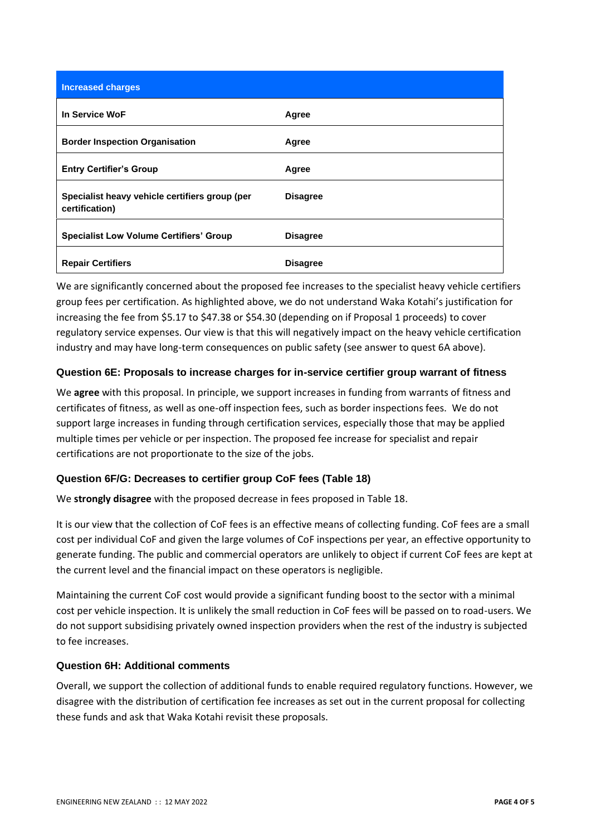| <b>Increased charges</b>                                         |                 |
|------------------------------------------------------------------|-----------------|
| In Service WoF                                                   | Agree           |
| <b>Border Inspection Organisation</b>                            | Agree           |
| <b>Entry Certifier's Group</b>                                   | Agree           |
| Specialist heavy vehicle certifiers group (per<br>certification) | <b>Disagree</b> |
| <b>Specialist Low Volume Certifiers' Group</b>                   | <b>Disagree</b> |
| <b>Repair Certifiers</b>                                         | <b>Disagree</b> |

We are significantly concerned about the proposed fee increases to the specialist heavy vehicle certifiers group fees per certification. As highlighted above, we do not understand Waka Kotahi's justification for increasing the fee from \$5.17 to \$47.38 or \$54.30 (depending on if Proposal 1 proceeds) to cover regulatory service expenses. Our view is that this will negatively impact on the heavy vehicle certification industry and may have long-term consequences on public safety (see answer to quest 6A above).

### **Question 6E: Proposals to increase charges for in-service certifier group warrant of fitness**

We **agree** with this proposal. In principle, we support increases in funding from warrants of fitness and certificates of fitness, as well as one-off inspection fees, such as border inspections fees. We do not support large increases in funding through certification services, especially those that may be applied multiple times per vehicle or per inspection. The proposed fee increase for specialist and repair certifications are not proportionate to the size of the jobs.

## **Question 6F/G: Decreases to certifier group CoF fees (Table 18)**

We **strongly disagree** with the proposed decrease in fees proposed in Table 18.

It is our view that the collection of CoF fees is an effective means of collecting funding. CoF fees are a small cost per individual CoF and given the large volumes of CoF inspections per year, an effective opportunity to generate funding. The public and commercial operators are unlikely to object if current CoF fees are kept at the current level and the financial impact on these operators is negligible.

Maintaining the current CoF cost would provide a significant funding boost to the sector with a minimal cost per vehicle inspection. It is unlikely the small reduction in CoF fees will be passed on to road-users. We do not support subsidising privately owned inspection providers when the rest of the industry is subjected to fee increases.

### **Question 6H: Additional comments**

Overall, we support the collection of additional funds to enable required regulatory functions. However, we disagree with the distribution of certification fee increases as set out in the current proposal for collecting these funds and ask that Waka Kotahi revisit these proposals.